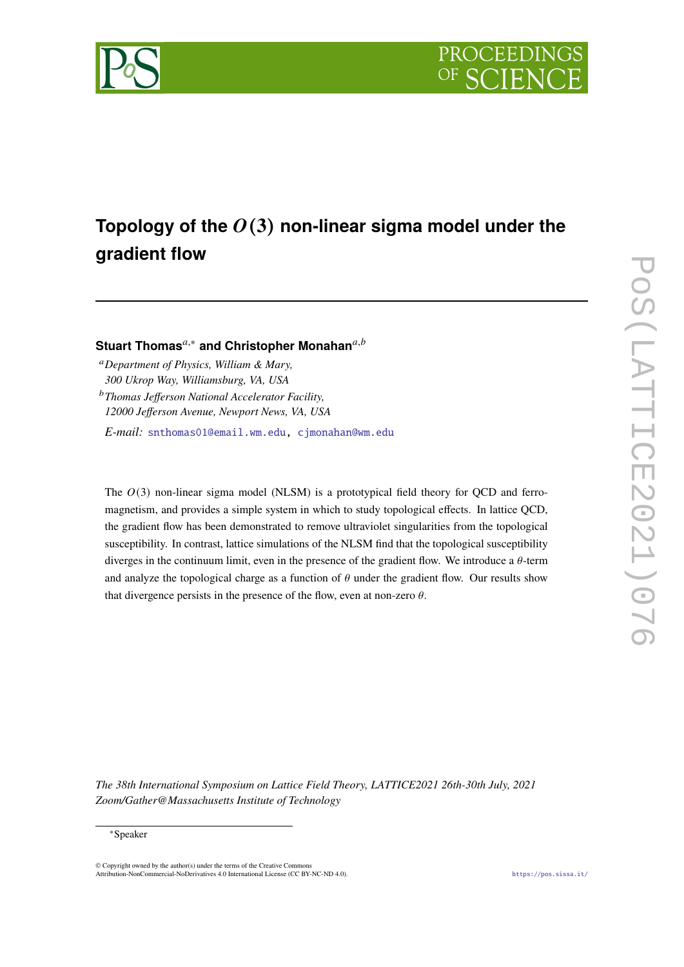



# **Topology of the** (**3**) **non-linear sigma model under the gradient flow**

**Stuart Thomas<sup>***a***,∗</sup> and Christopher Monahan<sup>***a***,***b***</sup>** 

*Department of Physics, William & Mary, 300 Ukrop Way, Williamsburg, VA, USA Thomas Jefferson National Accelerator Facility, 12000 Jefferson Avenue, Newport News, VA, USA*

*E-mail:* [snthomas01@email.wm.edu,](mailto:snthomas01@email.wm.edu) [cjmonahan@wm.edu](mailto:cjmonahan@wm.edu)

The  $O(3)$  non-linear sigma model (NLSM) is a prototypical field theory for QCD and ferromagnetism, and provides a simple system in which to study topological effects. In lattice QCD, the gradient flow has been demonstrated to remove ultraviolet singularities from the topological susceptibility. In contrast, lattice simulations of the NLSM find that the topological susceptibility diverges in the continuum limit, even in the presence of the gradient flow. We introduce a  $\theta$ -term and analyze the topological charge as a function of  $\theta$  under the gradient flow. Our results show that divergence persists in the presence of the flow, even at non-zero  $\theta$ .

*The 38th International Symposium on Lattice Field Theory, LATTICE2021 26th-30th July, 2021 Zoom/Gather@Massachusetts Institute of Technology*

## <sup>∗</sup>Speaker

 $\odot$  Copyright owned by the author(s) under the terms of the Creative Common Attribution-NonCommercial-NoDerivatives 4.0 International License (CC BY-NC-ND 4.0). <https://pos.sissa.it/>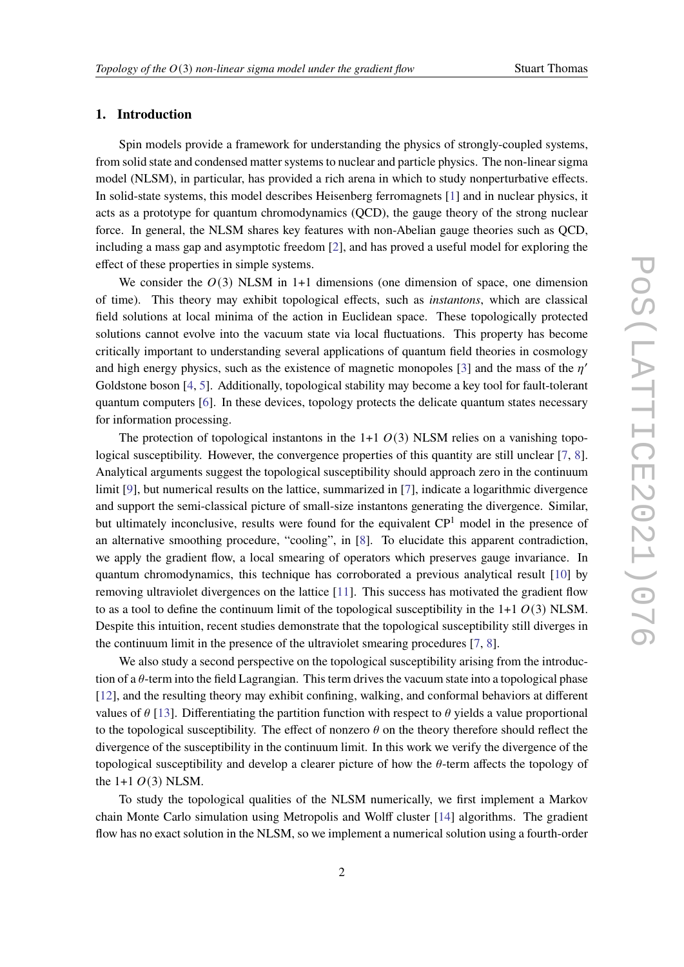# **1. Introduction**

Spin models provide a framework for understanding the physics of strongly-coupled systems, from solid state and condensed matter systems to nuclear and particle physics. The non-linear sigma model (NLSM), in particular, has provided a rich arena in which to study nonperturbative effects. In solid-state systems, this model describes Heisenberg ferromagnets [\[1\]](#page-7-0) and in nuclear physics, it acts as a prototype for quantum chromodynamics (QCD), the gauge theory of the strong nuclear force. In general, the NLSM shares key features with non-Abelian gauge theories such as QCD, including a mass gap and asymptotic freedom [\[2\]](#page-7-1), and has proved a useful model for exploring the effect of these properties in simple systems.

We consider the  $O(3)$  NLSM in 1+1 dimensions (one dimension of space, one dimension of time). This theory may exhibit topological effects, such as *instantons*, which are classical field solutions at local minima of the action in Euclidean space. These topologically protected solutions cannot evolve into the vacuum state via local fluctuations. This property has become critically important to understanding several applications of quantum field theories in cosmology and high energy physics, such as the existence of magnetic monopoles [\[3\]](#page-7-2) and the mass of the  $\eta'$ Goldstone boson [\[4,](#page-7-3) [5\]](#page-7-4). Additionally, topological stability may become a key tool for fault-tolerant quantum computers [\[6\]](#page-7-5). In these devices, topology protects the delicate quantum states necessary for information processing.

The protection of topological instantons in the 1+1  $O(3)$  NLSM relies on a vanishing topo-logical susceptibility. However, the convergence properties of this quantity are still unclear [\[7,](#page-7-6) [8\]](#page-8-0). Analytical arguments suggest the topological susceptibility should approach zero in the continuum limit [\[9\]](#page-8-1), but numerical results on the lattice, summarized in [\[7\]](#page-7-6), indicate a logarithmic divergence and support the semi-classical picture of small-size instantons generating the divergence. Similar, but ultimately inconclusive, results were found for the equivalent CP<sup>1</sup> model in the presence of an alternative smoothing procedure, "cooling", in [\[8\]](#page-8-0). To elucidate this apparent contradiction, we apply the gradient flow, a local smearing of operators which preserves gauge invariance. In quantum chromodynamics, this technique has corroborated a previous analytical result [\[10\]](#page-8-2) by removing ultraviolet divergences on the lattice [\[11\]](#page-8-3). This success has motivated the gradient flow to as a tool to define the continuum limit of the topological susceptibility in the  $1+1 O(3)$  NLSM. Despite this intuition, recent studies demonstrate that the topological susceptibility still diverges in the continuum limit in the presence of the ultraviolet smearing procedures [\[7,](#page-7-6) [8\]](#page-8-0).

We also study a second perspective on the topological susceptibility arising from the introduction of a  $\theta$ -term into the field Lagrangian. This term drives the vacuum state into a topological phase [\[12\]](#page-8-4), and the resulting theory may exhibit confining, walking, and conformal behaviors at different values of  $\theta$  [\[13\]](#page-8-5). Differentiating the partition function with respect to  $\theta$  yields a value proportional to the topological susceptibility. The effect of nonzero  $\theta$  on the theory therefore should reflect the divergence of the susceptibility in the continuum limit. In this work we verify the divergence of the topological susceptibility and develop a clearer picture of how the  $\theta$ -term affects the topology of the  $1+1$   $O(3)$  NLSM.

To study the topological qualities of the NLSM numerically, we first implement a Markov chain Monte Carlo simulation using Metropolis and Wolff cluster [\[14\]](#page-8-6) algorithms. The gradient flow has no exact solution in the NLSM, so we implement a numerical solution using a fourth-order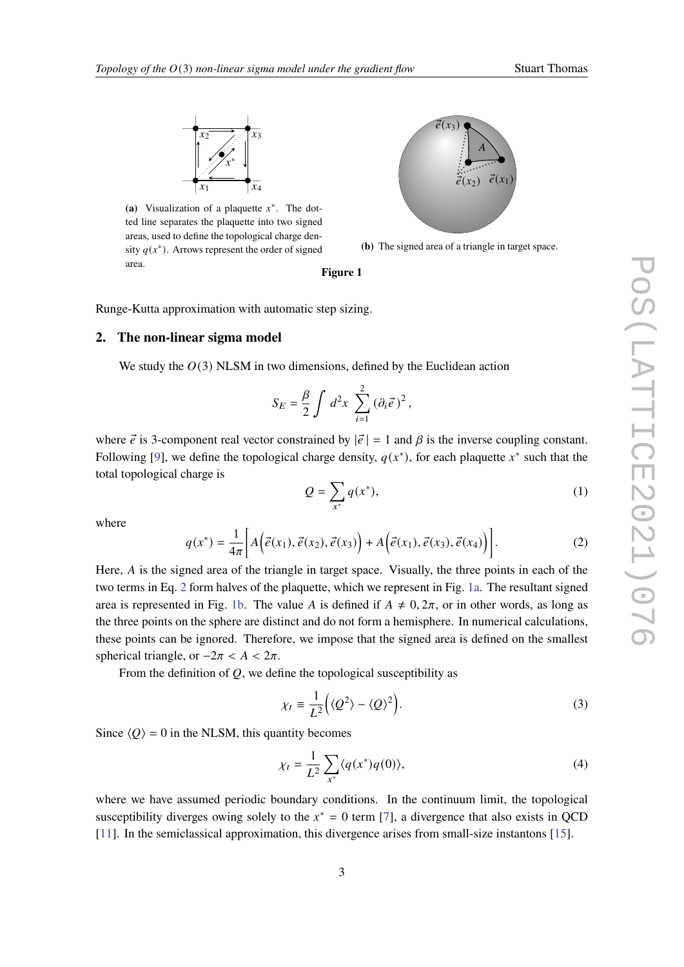<span id="page-2-1"></span>

(a) Visualization of a plaquette  $x^*$ . The dotted line separates the plaquette into two signed areas, used to define the topological charge density  $q(x^*)$ . Arrows represent the order of signed area.



**(b)** The signed area of a triangle in target space.

#### **Figure 1**

Runge-Kutta approximation with automatic step sizing.

## **2. The non-linear sigma model**

We study the  $O(3)$  NLSM in two dimensions, defined by the Euclidean action

$$
S_E = \frac{\beta}{2} \int d^2x \sum_{i=1}^2 (\partial_i \vec{e})^2,
$$

where  $\vec{e}$  is 3-component real vector constrained by  $|\vec{e}| = 1$  and  $\beta$  is the inverse coupling constant. Following [\[9\]](#page-8-1), we define the topological charge density,  $q(x^*)$ , for each plaquette  $x^*$  such that the total topological charge is

$$
Q = \sum_{x^*} q(x^*),\tag{1}
$$

where

<span id="page-2-0"></span>
$$
q(x^*) = \frac{1}{4\pi} \bigg[ A\bigg(\vec{e}(x_1), \vec{e}(x_2), \vec{e}(x_3)\bigg) + A\bigg(\vec{e}(x_1), \vec{e}(x_3), \vec{e}(x_4)\bigg) \bigg].
$$
 (2)

Here,  $\vec{A}$  is the signed area of the triangle in target space. Visually, the three points in each of the two terms in Eq. [2](#page-2-0) form halves of the plaquette, which we represent in Fig. [1a.](#page-2-1) The resultant signed area is represented in Fig. [1b.](#page-2-1) The value A is defined if  $A \neq 0, 2\pi$ , or in other words, as long as the three points on the sphere are distinct and do not form a hemisphere. In numerical calculations, these points can be ignored. Therefore, we impose that the signed area is defined on the smallest spherical triangle, or  $-2\pi < A < 2\pi$ .

From the definition of  $O$ , we define the topological susceptibility as

$$
\chi_t \equiv \frac{1}{L^2} \Big( \langle Q^2 \rangle - \langle Q \rangle^2 \Big). \tag{3}
$$

Since  $\langle Q \rangle = 0$  in the NLSM, this quantity becomes

$$
\chi_t = \frac{1}{L^2} \sum_{x^*} \langle q(x^*) q(0) \rangle, \tag{4}
$$

where we have assumed periodic boundary conditions. In the continuum limit, the topological susceptibility diverges owing solely to the  $x^* = 0$  term [\[7\]](#page-7-6), a divergence that also exists in QCD [\[11\]](#page-8-3). In the semiclassical approximation, this divergence arises from small-size instantons [\[15\]](#page-8-7).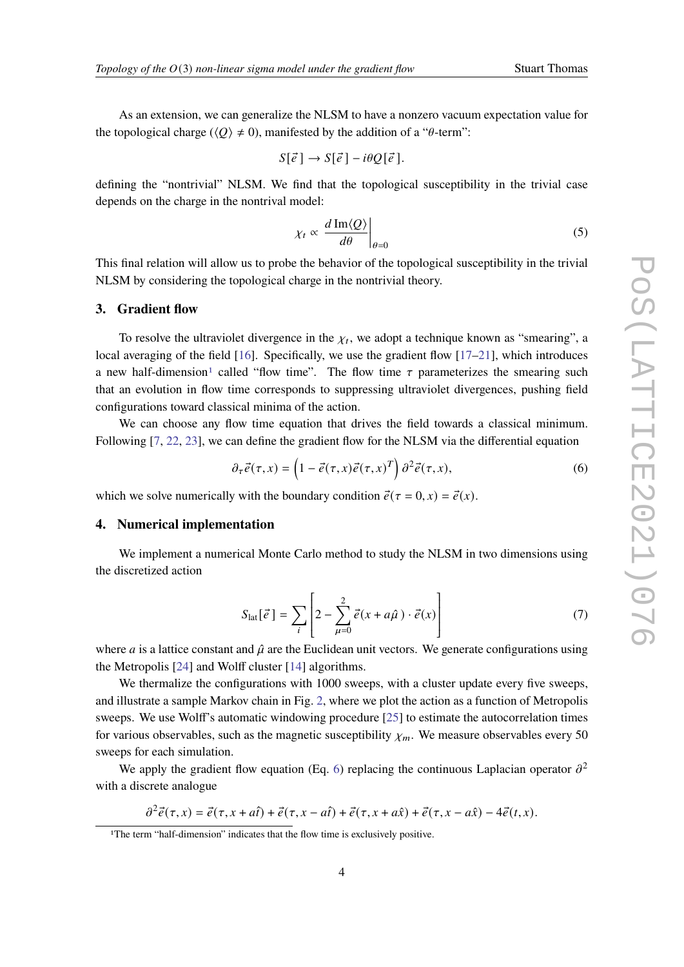As an extension, we can generalize the NLSM to have a nonzero vacuum expectation value for the topological charge ( $\langle Q \rangle \neq 0$ ), manifested by the addition of a " $\theta$ -term":

$$
S[\vec{e}] \to S[\vec{e}] - i\theta Q[\vec{e}].
$$

defining the "nontrivial" NLSM. We find that the topological susceptibility in the trivial case depends on the charge in the nontrival model:

$$
\chi_t \propto \left. \frac{d \operatorname{Im} \langle Q \rangle}{d\theta} \right|_{\theta=0} \tag{5}
$$

This final relation will allow us to probe the behavior of the topological susceptibility in the trivial NLSM by considering the topological charge in the nontrivial theory.

### **3. Gradient flow**

To resolve the ultraviolet divergence in the  $\chi_t$ , we adopt a technique known as "smearing", a local averaging of the field [\[16\]](#page-8-8). Specifically, we use the gradient flow [\[17–](#page-8-9)[21\]](#page-8-10), which introduces a new half-dimension<sup>[1](#page-3-0)</sup> called "flow time". The flow time  $\tau$  parameterizes the smearing such that an evolution in flow time corresponds to suppressing ultraviolet divergences, pushing field configurations toward classical minima of the action.

We can choose any flow time equation that drives the field towards a classical minimum. Following [\[7,](#page-7-6) [22,](#page-8-11) [23\]](#page-8-12), we can define the gradient flow for the NLSM via the differential equation

<span id="page-3-1"></span>
$$
\partial_{\tau}\vec{e}(\tau,x) = \left(1 - \vec{e}(\tau,x)\vec{e}(\tau,x)^{T}\right)\partial^{2}\vec{e}(\tau,x),\tag{6}
$$

which we solve numerically with the boundary condition  $\vec{e}(\tau = 0, x) = \vec{e}(x)$ .

# **4. Numerical implementation**

We implement a numerical Monte Carlo method to study the NLSM in two dimensions using the discretized action

$$
S_{\text{lat}}[\vec{e}] = \sum_{i} \left[ 2 - \sum_{\mu=0}^{2} \vec{e}(x + a\hat{\mu}) \cdot \vec{e}(x) \right]
$$
 (7)

where *a* is a lattice constant and  $\hat{\mu}$  are the Euclidean unit vectors. We generate configurations using the Metropolis [\[24\]](#page-8-13) and Wolff cluster [\[14\]](#page-8-6) algorithms.

We thermalize the configurations with 1000 sweeps, with a cluster update every five sweeps, and illustrate a sample Markov chain in Fig. [2,](#page-4-0) where we plot the action as a function of Metropolis sweeps. We use Wolff's automatic windowing procedure [\[25\]](#page-8-14) to estimate the autocorrelation times for various observables, such as the magnetic susceptibility  $\chi_m$ . We measure observables every 50 sweeps for each simulation.

We apply the gradient flow equation (Eq. [6\)](#page-3-1) replacing the continuous Laplacian operator  $\partial^2$ with a discrete analogue

 $\partial^2 \vec{e}(\tau, x) = \vec{e}(\tau, x + a\hat{t}) + \vec{e}(\tau, x - a\hat{t}) + \vec{e}(\tau, x + a\hat{x}) + \vec{e}(\tau, x - a\hat{x}) - 4\vec{e}(t, x).$ 

<span id="page-3-0"></span><sup>&</sup>lt;sup>1</sup>The term "half-dimension" indicates that the flow time is exclusively positive.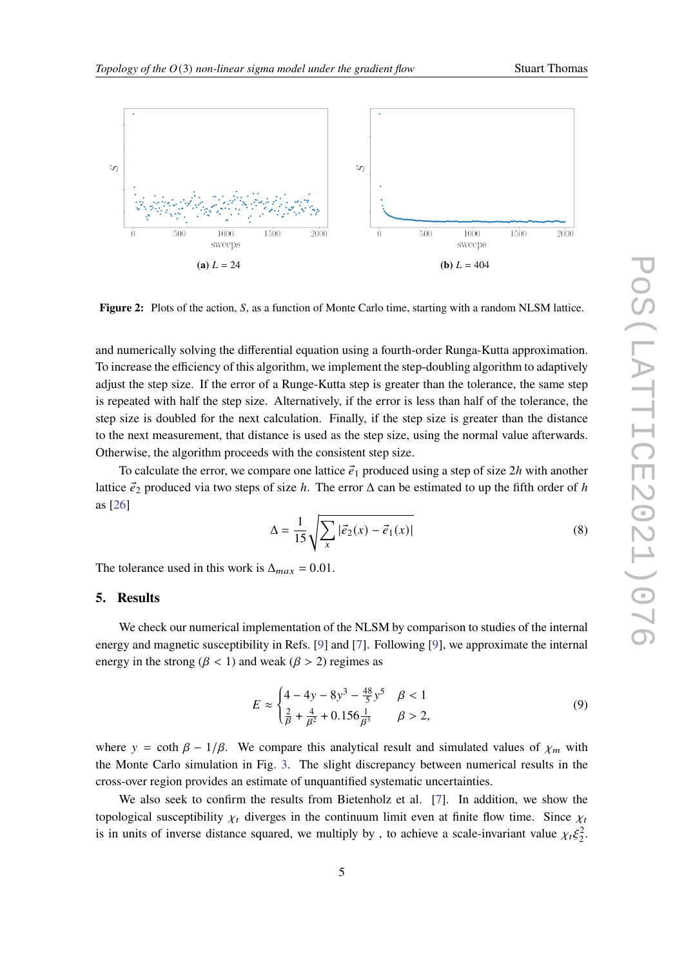<span id="page-4-0"></span>

**Figure 2:** Plots of the action, S, as a function of Monte Carlo time, starting with a random NLSM lattice.

and numerically solving the differential equation using a fourth-order Runga-Kutta approximation. To increase the efficiency of this algorithm, we implement the step-doubling algorithm to adaptively adjust the step size. If the error of a Runge-Kutta step is greater than the tolerance, the same step is repeated with half the step size. Alternatively, if the error is less than half of the tolerance, the step size is doubled for the next calculation. Finally, if the step size is greater than the distance to the next measurement, that distance is used as the step size, using the normal value afterwards. Otherwise, the algorithm proceeds with the consistent step size.

To calculate the error, we compare one lattice  $\vec{e}_1$  produced using a step of size 2h with another lattice  $\vec{e}_2$  produced via two steps of size h. The error  $\Delta$  can be estimated to up the fifth order of h as [\[26\]](#page-8-15)

$$
\Delta = \frac{1}{15} \sqrt{\sum_{x} |\vec{e}_2(x) - \vec{e}_1(x)|}
$$
 (8)

The tolerance used in this work is  $\Delta_{max} = 0.01$ .

## **5. Results**

We check our numerical implementation of the NLSM by comparison to studies of the internal energy and magnetic susceptibility in Refs. [\[9\]](#page-8-1) and [\[7\]](#page-7-6). Following [\[9\]](#page-8-1), we approximate the internal energy in the strong ( $\beta$  < 1) and weak ( $\beta$  > 2) regimes as

<span id="page-4-1"></span>
$$
E \approx \begin{cases} 4 - 4y - 8y^3 - \frac{48}{5}y^5 & \beta < 1\\ \frac{2}{\beta} + \frac{4}{\beta^2} + 0.156\frac{1}{\beta^3} & \beta > 2, \end{cases} \tag{9}
$$

where  $y = \coth \beta - 1/\beta$ . We compare this analytical result and simulated values of  $\chi_m$  with the Monte Carlo simulation in Fig. [3.](#page-5-0) The slight discrepancy between numerical results in the cross-over region provides an estimate of unquantified systematic uncertainties.

We also seek to confirm the results from Bietenholz et al. [\[7\]](#page-7-6). In addition, we show the topological susceptibility  $\chi_t$  diverges in the continuum limit even at finite flow time. Since  $\chi_t$ is in units of inverse distance squared, we multiply by, to achieve a scale-invariant value  $\chi_t \xi_2^2$ .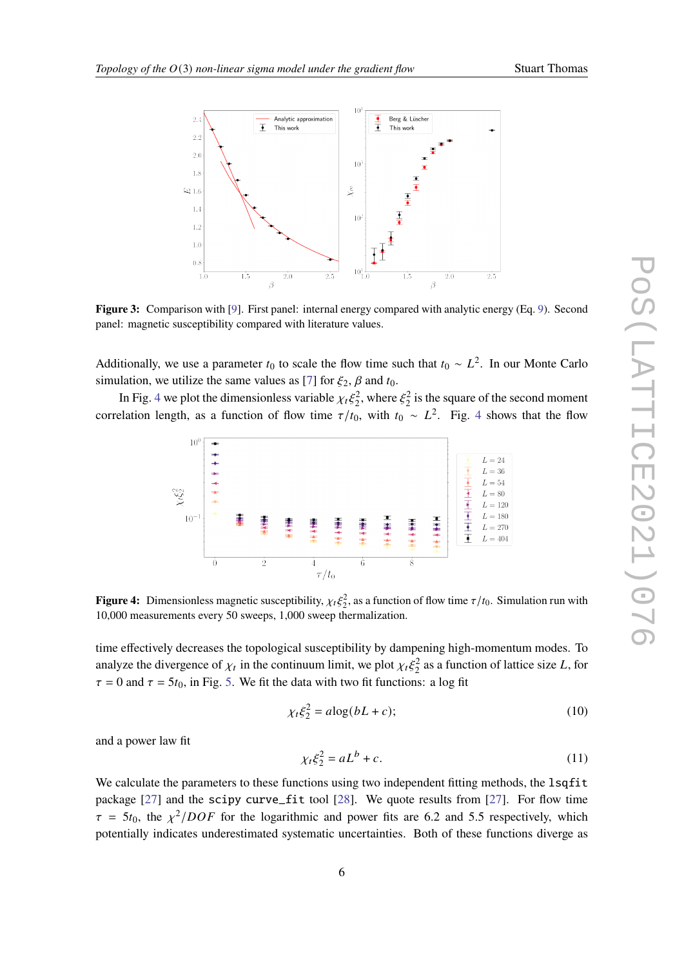<span id="page-5-0"></span>

**Figure 3:** Comparison with [\[9\]](#page-8-1). First panel: internal energy compared with analytic energy (Eq. [9\)](#page-4-1). Second panel: magnetic susceptibility compared with literature values.

Additionally, we use a parameter  $t_0$  to scale the flow time such that  $t_0 \sim L^2$ . In our Monte Carlo simulation, we utilize the same values as [\[7\]](#page-7-6) for  $\xi_2$ ,  $\beta$  and  $t_0$ .

<span id="page-5-1"></span>In Fig. [4](#page-5-1) we plot the dimensionless variable  $\chi_t \xi_2^2$ , where  $\xi_2^2$  is the square of the second moment correlation length, as a function of flow time  $\tau/t_0$ , with  $t_0 \sim L^2$ . Fig. [4](#page-5-1) shows that the flow



**Figure 4:** Dimensionless magnetic susceptibility,  $\chi_t \xi_2^2$ , as a function of flow time  $\tau/t_0$ . Simulation run with 10,000 measurements every 50 sweeps, 1,000 sweep thermalization.

time effectively decreases the topological susceptibility by dampening high-momentum modes. To analyze the divergence of  $\chi_t$  in the continuum limit, we plot  $\chi_t \xi_2^2$  as a function of lattice size L, for  $\tau = 0$  and  $\tau = 5t_0$ , in Fig. [5.](#page-6-0) We fit the data with two fit functions: a log fit

$$
\chi_t \xi_2^2 = a \log(bL + c); \tag{10}
$$

and a power law fit

$$
\chi_t \xi_2^2 = aL^b + c. \tag{11}
$$

We calculate the parameters to these functions using two independent fitting methods, the lsqfit package  $[27]$  and the scipy curve\_fit tool  $[28]$ . We quote results from  $[27]$ . For flow time  $\tau = 5t_0$ , the  $\chi^2 / DOF$  for the logarithmic and power fits are 6.2 and 5.5 respectively, which potentially indicates underestimated systematic uncertainties. Both of these functions diverge as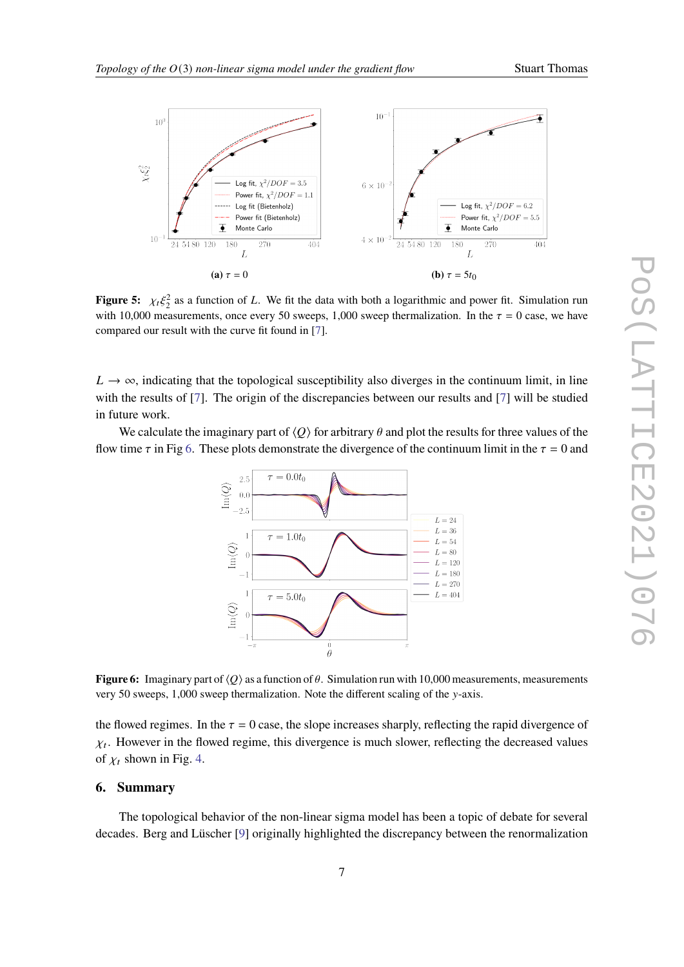

<span id="page-6-0"></span>

**Figure 5:**  $\chi_t \xi_2^2$  as a function of L. We fit the data with both a logarithmic and power fit. Simulation run with 10,000 measurements, once every 50 sweeps, 1,000 sweep thermalization. In the  $\tau = 0$  case, we have compared our result with the curve fit found in [\[7\]](#page-7-6).

 $L \rightarrow \infty$ , indicating that the topological susceptibility also diverges in the continuum limit, in line with the results of [\[7\]](#page-7-6). The origin of the discrepancies between our results and [7] will be studied in future work.

<span id="page-6-1"></span>We calculate the imaginary part of  $\langle O \rangle$  for arbitrary  $\theta$  and plot the results for three values of the flow time  $\tau$  in Fig [6.](#page-6-1) These plots demonstrate the divergence of the continuum limit in the  $\tau = 0$  and



**Figure 6:** Imaginary part of  $\langle Q \rangle$  as a function of  $\theta$ . Simulation run with 10,000 measurements, measurements very 50 sweeps,  $1,000$  sweep thermalization. Note the different scaling of the y-axis.

the flowed regimes. In the  $\tau = 0$  case, the slope increases sharply, reflecting the rapid divergence of  $\chi_t$ . However in the flowed regime, this divergence is much slower, reflecting the decreased values of  $\chi_t$  shown in Fig. [4.](#page-5-1)

# **6. Summary**

The topological behavior of the non-linear sigma model has been a topic of debate for several decades. Berg and Lüscher [\[9\]](#page-8-1) originally highlighted the discrepancy between the renormalization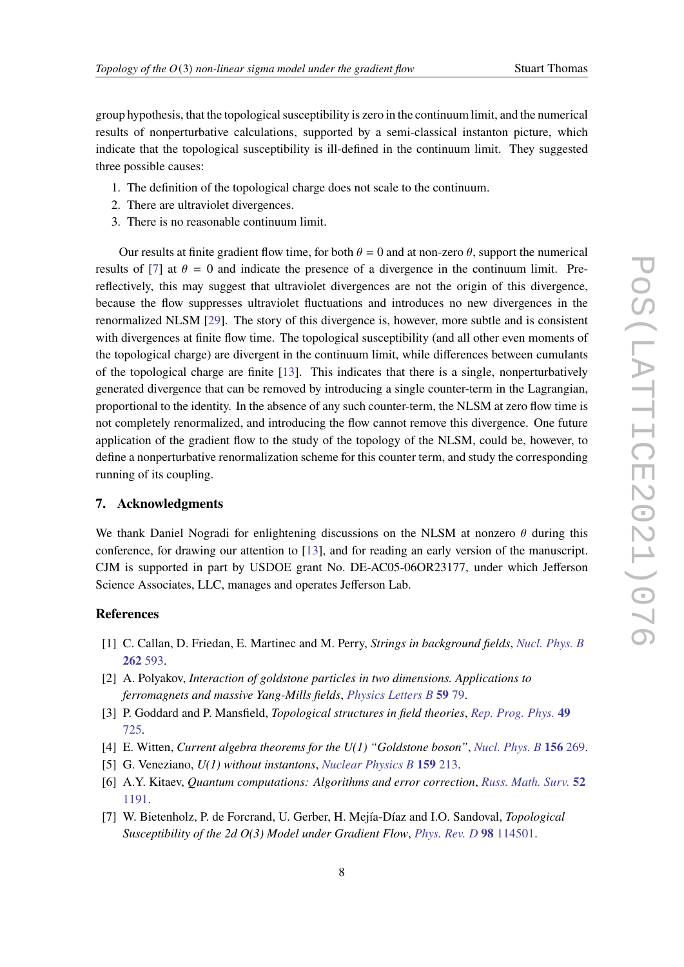group hypothesis, that the topological susceptibility is zero in the continuum limit, and the numerical results of nonperturbative calculations, supported by a semi-classical instanton picture, which indicate that the topological susceptibility is ill-defined in the continuum limit. They suggested three possible causes:

- 1. The definition of the topological charge does not scale to the continuum.
- 2. There are ultraviolet divergences.
- 3. There is no reasonable continuum limit.

Our results at finite gradient flow time, for both  $\theta = 0$  and at non-zero  $\theta$ , support the numerical results of [\[7\]](#page-7-6) at  $\theta = 0$  and indicate the presence of a divergence in the continuum limit. Prereflectively, this may suggest that ultraviolet divergences are not the origin of this divergence, because the flow suppresses ultraviolet fluctuations and introduces no new divergences in the renormalized NLSM [\[29\]](#page-8-18). The story of this divergence is, however, more subtle and is consistent with divergences at finite flow time. The topological susceptibility (and all other even moments of the topological charge) are divergent in the continuum limit, while differences between cumulants of the topological charge are finite [\[13\]](#page-8-5). This indicates that there is a single, nonperturbatively generated divergence that can be removed by introducing a single counter-term in the Lagrangian, proportional to the identity. In the absence of any such counter-term, the NLSM at zero flow time is not completely renormalized, and introducing the flow cannot remove this divergence. One future application of the gradient flow to the study of the topology of the NLSM, could be, however, to define a nonperturbative renormalization scheme for this counter term, and study the corresponding running of its coupling.

# **7. Acknowledgments**

We thank Daniel Nogradi for enlightening discussions on the NLSM at nonzero  $\theta$  during this conference, for drawing our attention to [\[13\]](#page-8-5), and for reading an early version of the manuscript. CJM is supported in part by USDOE grant No. DE-AC05-06OR23177, under which Jefferson Science Associates, LLC, manages and operates Jefferson Lab.

# **References**

- <span id="page-7-0"></span>[1] C. Callan, D. Friedan, E. Martinec and M. Perry, *Strings in background fields*, *[Nucl. Phys. B](https://doi.org/10.1016/0550-3213(85)90506-1)* **262** [593.](https://doi.org/10.1016/0550-3213(85)90506-1)
- <span id="page-7-1"></span>[2] A. Polyakov, *Interaction of goldstone particles in two dimensions. Applications to ferromagnets and massive Yang-Mills fields*, *[Physics Letters B](https://doi.org/10.1016/0370-2693(75)90161-6)* **59** 79.
- <span id="page-7-2"></span>[3] P. Goddard and P. Mansfield, *Topological structures in field theories*, *[Rep. Prog. Phys.](https://doi.org/10.1088/0034-4885/49/7/001)* **49** [725.](https://doi.org/10.1088/0034-4885/49/7/001)
- <span id="page-7-3"></span>[4] E. Witten, *Current algebra theorems for the U(1) "Goldstone boson"*, *[Nucl. Phys. B](https://doi.org/10.1016/0550-3213(79)90031-2)* **156** 269.
- <span id="page-7-4"></span>[5] G. Veneziano, *U(1) without instantons*, *[Nuclear Physics B](https://doi.org/10.1016/0550-3213(79)90332-8)* **159** 213.
- <span id="page-7-5"></span>[6] A.Y. Kitaev, *Quantum computations: Algorithms and error correction*, *[Russ. Math. Surv.](https://doi.org/10.1070/RM1997v052n06ABEH002155)* **52** [1191.](https://doi.org/10.1070/RM1997v052n06ABEH002155)
- <span id="page-7-6"></span>[7] W. Bietenholz, P. de Forcrand, U. Gerber, H. Mejía-Díaz and I.O. Sandoval, *Topological Susceptibility of the 2d O(3) Model under Gradient Flow*, *[Phys. Rev. D](https://doi.org/10.1103/PhysRevD.98.114501)* **98** 114501.